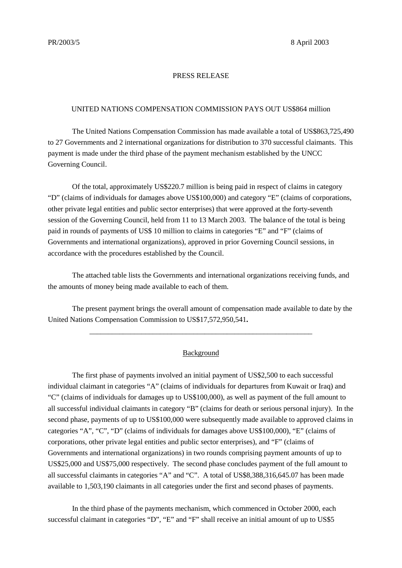#### PRESS RELEASE

#### UNITED NATIONS COMPENSATION COMMISSION PAYS OUT US\$864 million

The United Nations Compensation Commission has made available a total of US\$863,725,490 to 27 Governments and 2 international organizations for distribution to 370 successful claimants. This payment is made under the third phase of the payment mechanism established by the UNCC Governing Council.

Of the total, approximately US\$220.7 million is being paid in respect of claims in category "D" (claims of individuals for damages above US\$100,000) and category "E" (claims of corporations, other private legal entities and public sector enterprises) that were approved at the forty-seventh session of the Governing Council, held from 11 to 13 March 2003. The balance of the total is being paid in rounds of payments of US\$ 10 million to claims in categories "E" and "F" (claims of Governments and international organizations), approved in prior Governing Council sessions, in accordance with the procedures established by the Council.

The attached table lists the Governments and international organizations receiving funds, and the amounts of money being made available to each of them.

The present payment brings the overall amount of compensation made available to date by the United Nations Compensation Commission to US\$17,572,950,541**.**

\_\_\_\_\_\_\_\_\_\_\_\_\_\_\_\_\_\_\_\_\_\_\_\_\_\_\_\_\_\_\_\_\_\_\_\_\_\_\_\_\_\_\_\_\_\_\_\_\_\_\_\_\_\_\_\_\_\_\_\_

### Background

The first phase of payments involved an initial payment of US\$2,500 to each successful individual claimant in categories "A" (claims of individuals for departures from Kuwait or Iraq) and "C" (claims of individuals for damages up to US\$100,000), as well as payment of the full amount to all successful individual claimants in category "B" (claims for death or serious personal injury). In the second phase, payments of up to US\$100,000 were subsequently made available to approved claims in categories "A", "C", "D" (claims of individuals for damages above US\$100,000), "E" (claims of corporations, other private legal entities and public sector enterprises), and "F" (claims of Governments and international organizations) in two rounds comprising payment amounts of up to US\$25,000 and US\$75,000 respectively. The second phase concludes payment of the full amount to all successful claimants in categories "A" and "C". A total of US\$8,388,316,645.07 has been made available to 1,503,190 claimants in all categories under the first and second phases of payments.

In the third phase of the payments mechanism, which commenced in October 2000, each successful claimant in categories "D", "E" and "F" shall receive an initial amount of up to US\$5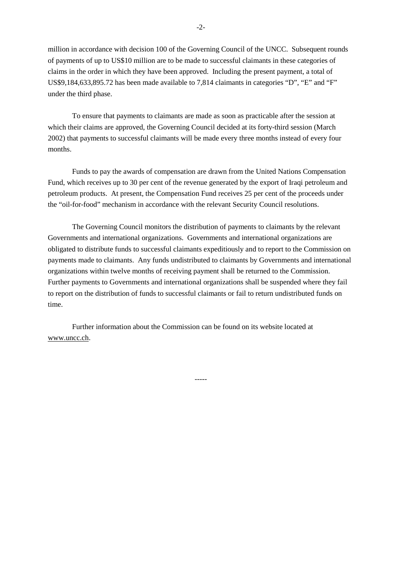million in accordance with decision 100 of the Governing Council of the UNCC. Subsequent rounds of payments of up to US\$10 million are to be made to successful claimants in these categories of claims in the order in which they have been approved. Including the present payment, a total of US\$9,184,633,895.72 has been made available to 7,814 claimants in categories "D", "E" and "F" under the third phase.

To ensure that payments to claimants are made as soon as practicable after the session at which their claims are approved, the Governing Council decided at its forty-third session (March 2002) that payments to successful claimants will be made every three months instead of every four months.

Funds to pay the awards of compensation are drawn from the United Nations Compensation Fund, which receives up to 30 per cent of the revenue generated by the export of Iraqi petroleum and petroleum products. At present, the Compensation Fund receives 25 per cent of the proceeds under the "oil-for-food" mechanism in accordance with the relevant Security Council resolutions.

The Governing Council monitors the distribution of payments to claimants by the relevant Governments and international organizations. Governments and international organizations are obligated to distribute funds to successful claimants expeditiously and to report to the Commission on payments made to claimants. Any funds undistributed to claimants by Governments and international organizations within twelve months of receiving payment shall be returned to the Commission. Further payments to Governments and international organizations shall be suspended where they fail to report on the distribution of funds to successful claimants or fail to return undistributed funds on time.

-----

Further information about the Commission can be found on its website located at www.uncc.ch.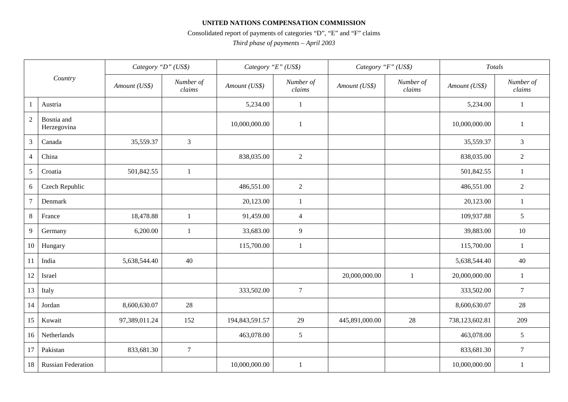## **UNITED NATIONS COMPENSATION COMMISSION**

# Consolidated report of payments of categories "D", "E" and "F" claims

*Third phase of payments – April 2003*

| Country         |                           | Category "D" (US\$) |                     | Category "E" (US\$) |                     | Category "F" (US\$) |                     | Totals         |                     |
|-----------------|---------------------------|---------------------|---------------------|---------------------|---------------------|---------------------|---------------------|----------------|---------------------|
|                 |                           | Amount (US\$)       | Number of<br>claims | Amount (US\$)       | Number of<br>claims | Amount (US\$)       | Number of<br>claims | Amount (US\$)  | Number of<br>claims |
| -1              | Austria                   |                     |                     | 5,234.00            | $\mathbf{1}$        |                     |                     | 5,234.00       | $\mathbf{1}$        |
| $\overline{2}$  | Bosnia and<br>Herzegovina |                     |                     | 10,000,000.00       | 1                   |                     |                     | 10,000,000.00  | 1                   |
| 3               | Canada                    | 35,559.37           | 3                   |                     |                     |                     |                     | 35,559.37      | 3                   |
| $\overline{4}$  | China                     |                     |                     | 838,035.00          | 2                   |                     |                     | 838,035.00     | $\overline{2}$      |
| $\mathfrak{S}$  | Croatia                   | 501,842.55          | $\mathbf{1}$        |                     |                     |                     |                     | 501,842.55     | $\mathbf{1}$        |
| 6               | Czech Republic            |                     |                     | 486,551.00          | $\sqrt{2}$          |                     |                     | 486,551.00     | $\sqrt{2}$          |
| $7\phantom{.0}$ | Denmark                   |                     |                     | 20,123.00           | $\mathbf{1}$        |                     |                     | 20,123.00      | 1                   |
| $\,8\,$         | France                    | 18,478.88           | $\mathbf{1}$        | 91,459.00           | $\overline{4}$      |                     |                     | 109,937.88     | 5                   |
| 9               | Germany                   | 6,200.00            | $\mathbf{1}$        | 33,683.00           | 9                   |                     |                     | 39,883.00      | 10                  |
| 10              | Hungary                   |                     |                     | 115,700.00          | 1                   |                     |                     | 115,700.00     | $\mathbf{1}$        |
| 11              | India                     | 5,638,544.40        | 40                  |                     |                     |                     |                     | 5,638,544.40   | 40                  |
| 12              | Israel                    |                     |                     |                     |                     | 20,000,000.00       | $\mathbf{1}$        | 20,000,000.00  | $\mathbf{1}$        |
| 13              | Italy                     |                     |                     | 333,502.00          | $\tau$              |                     |                     | 333,502.00     | $\overline{7}$      |
| 14              | Jordan                    | 8,600,630.07        | 28                  |                     |                     |                     |                     | 8,600,630.07   | 28                  |
| 15              | Kuwait                    | 97,389,011.24       | 152                 | 194,843,591.57      | 29                  | 445,891,000.00      | 28                  | 738,123,602.81 | 209                 |
| 16              | Netherlands               |                     |                     | 463,078.00          | $\mathfrak{S}$      |                     |                     | 463,078.00     | 5                   |
| 17              | Pakistan                  | 833,681.30          | $\tau$              |                     |                     |                     |                     | 833,681.30     | $\tau$              |
| 18              | <b>Russian Federation</b> |                     |                     | 10,000,000.00       | -1                  |                     |                     | 10,000,000.00  | 1                   |